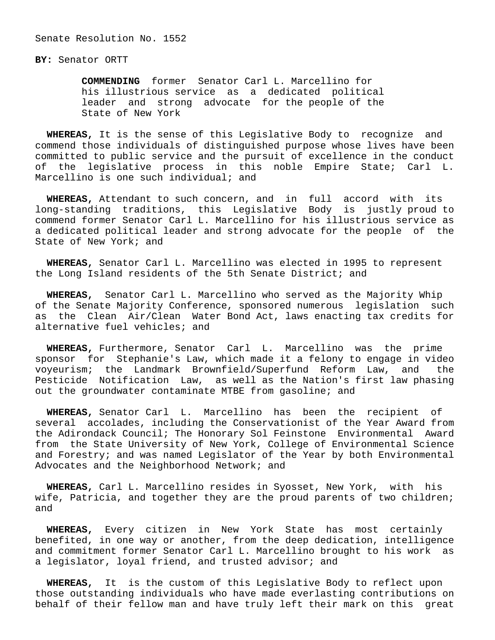Senate Resolution No. 1552

**BY:** Senator ORTT

 **COMMENDING** former Senator Carl L. Marcellino for his illustrious service as a dedicated political leader and strong advocate for the people of the State of New York

 **WHEREAS,** It is the sense of this Legislative Body to recognize and commend those individuals of distinguished purpose whose lives have been committed to public service and the pursuit of excellence in the conduct of the legislative process in this noble Empire State; Carl L. Marcellino is one such individual; and

 **WHEREAS,** Attendant to such concern, and in full accord with its long-standing traditions, this Legislative Body is justly proud to commend former Senator Carl L. Marcellino for his illustrious service as a dedicated political leader and strong advocate for the people of the State of New York; and

 **WHEREAS,** Senator Carl L. Marcellino was elected in 1995 to represent the Long Island residents of the 5th Senate District; and

 **WHEREAS,** Senator Carl L. Marcellino who served as the Majority Whip of the Senate Majority Conference, sponsored numerous legislation such as the Clean Air/Clean Water Bond Act, laws enacting tax credits for alternative fuel vehicles; and

 **WHEREAS,** Furthermore, Senator Carl L. Marcellino was the prime sponsor for Stephanie's Law, which made it a felony to engage in video voyeurism; the Landmark Brownfield/Superfund Reform Law, and the Pesticide Notification Law, as well as the Nation's first law phasing out the groundwater contaminate MTBE from gasoline; and

 **WHEREAS,** Senator Carl L. Marcellino has been the recipient of several accolades, including the Conservationist of the Year Award from the Adirondack Council; The Honorary Sol Feinstone Environmental Award from the State University of New York, College of Environmental Science and Forestry; and was named Legislator of the Year by both Environmental Advocates and the Neighborhood Network; and

 **WHEREAS,** Carl L. Marcellino resides in Syosset, New York, with his wife, Patricia, and together they are the proud parents of two children; and

 **WHEREAS,** Every citizen in New York State has most certainly benefited, in one way or another, from the deep dedication, intelligence and commitment former Senator Carl L. Marcellino brought to his work as a legislator, loyal friend, and trusted advisor; and

 **WHEREAS,** It is the custom of this Legislative Body to reflect upon those outstanding individuals who have made everlasting contributions on behalf of their fellow man and have truly left their mark on this great